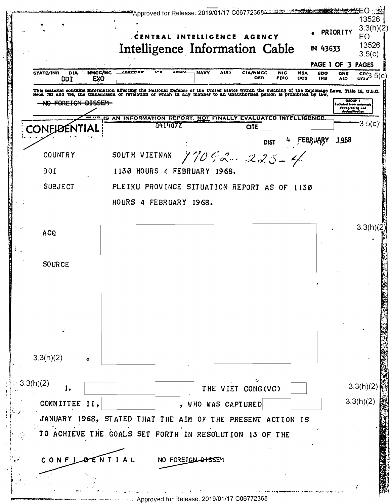|                                                                     | CENTRAL INTELLIGENCE AGENCY<br>Intelligence Information Cable                                                                                                                                                                     |                     |                        |                           | IN 43633                               | PAGE 1 OF 3 PAGES                                                   | EO<br>13526<br>3.5(c)   |
|---------------------------------------------------------------------|-----------------------------------------------------------------------------------------------------------------------------------------------------------------------------------------------------------------------------------|---------------------|------------------------|---------------------------|----------------------------------------|---------------------------------------------------------------------|-------------------------|
| NMCC/MC<br><b>STATE/INR</b><br>DIA<br>EX <sub>0</sub><br><b>DDI</b> | <u>ISECORP</u><br><u>A DEIV</u><br>1 C C                                                                                                                                                                                          | <b>NAVY</b><br>AIR) | <b>CIA/NMCC</b><br>OER | <b>NIC</b><br><b>FBIS</b> | <b>NGA</b><br>6DO<br><b>DCS</b><br>IR8 | ONE<br><b>AID</b>                                                   | $\frac{CR}{UB12}$ 3.5(c |
| <del>FOREIGN DISSEM</del>                                           | This material contains information affecting the National Defense of the United States within the meaning of the Espionage Laws, Title 18, U.S.C.<br>Secs. 793 and 794, the transmisson or revelation of which in any manner to a |                     |                        |                           |                                        | OROUP 1<br>Ezcluded from autor<br>dewagrading und<br>doclauikceilan |                         |
| CONFIDENTIA                                                         | IS AN INFORMATION REPORT, NOT FINALLY EVALUATED INTELLIGENCE.<br>0414072                                                                                                                                                          |                     | <b>CITE</b>            |                           |                                        |                                                                     | '3.5(c)                 |
|                                                                     |                                                                                                                                                                                                                                   |                     | <b>DIST</b>            |                           | FEBRUARY                               | 1968                                                                |                         |
| <b>COUNTRY</b>                                                      | SOUTH VIETNAM                                                                                                                                                                                                                     | $17092 - 225 - 4$   |                        |                           |                                        |                                                                     |                         |
| DOI                                                                 | 1130 HOURS 4 FEBRUARY 1968.                                                                                                                                                                                                       |                     |                        |                           |                                        |                                                                     |                         |
| <b>SUBJECT</b>                                                      | PLEIKU PROVINCE SITUATION REPORT AS OF 1130                                                                                                                                                                                       |                     |                        |                           |                                        |                                                                     |                         |
|                                                                     | HOURS 4 FEBRUARY 1968.                                                                                                                                                                                                            |                     |                        |                           |                                        |                                                                     |                         |
|                                                                     |                                                                                                                                                                                                                                   |                     |                        |                           |                                        |                                                                     |                         |
| <b>ACQ</b>                                                          |                                                                                                                                                                                                                                   |                     |                        |                           |                                        |                                                                     | 3.3(h)(2)               |
|                                                                     |                                                                                                                                                                                                                                   |                     |                        |                           |                                        |                                                                     |                         |
| <b>SOURCE</b>                                                       |                                                                                                                                                                                                                                   |                     |                        |                           |                                        |                                                                     |                         |
|                                                                     |                                                                                                                                                                                                                                   |                     |                        |                           |                                        |                                                                     |                         |
|                                                                     |                                                                                                                                                                                                                                   |                     |                        |                           |                                        |                                                                     |                         |
|                                                                     |                                                                                                                                                                                                                                   |                     |                        |                           |                                        |                                                                     |                         |
|                                                                     |                                                                                                                                                                                                                                   |                     |                        |                           |                                        |                                                                     |                         |
|                                                                     |                                                                                                                                                                                                                                   |                     |                        |                           |                                        |                                                                     |                         |
| 3.3(h)(2)                                                           |                                                                                                                                                                                                                                   |                     |                        |                           |                                        |                                                                     |                         |
| $\bullet$                                                           |                                                                                                                                                                                                                                   |                     |                        |                           |                                        |                                                                     |                         |
| $-3.3(h)(2)$<br>1.                                                  |                                                                                                                                                                                                                                   | THE VIET CONG(VC)   |                        |                           |                                        | 3.3(h)(2)                                                           |                         |
| COMMITTEE II,                                                       |                                                                                                                                                                                                                                   | , WHO WAS CAPTURED  |                        |                           |                                        | 3.3(h)(2)                                                           |                         |
|                                                                     |                                                                                                                                                                                                                                   |                     |                        |                           |                                        |                                                                     |                         |
|                                                                     | JANUARY 1968, STATED THAT THE AIM OF THE PRESENT ACTION IS<br>TO ACHIEVE THE GOALS SET FORTH IN RESOLUTION 13 OF THE                                                                                                              |                     |                        |                           |                                        |                                                                     |                         |
|                                                                     |                                                                                                                                                                                                                                   |                     |                        |                           |                                        |                                                                     |                         |
| CONFI                                                               | ENTIAL<br>NO FOREIGN DISSEM                                                                                                                                                                                                       |                     |                        |                           |                                        |                                                                     |                         |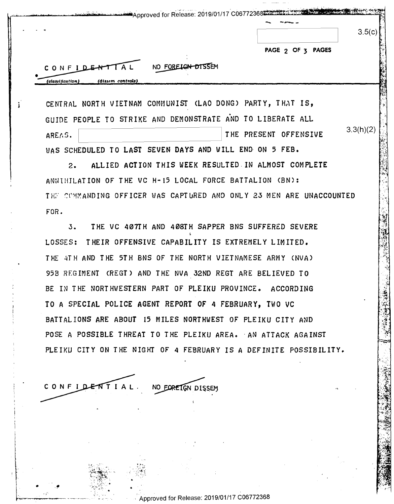|                                                              | Approved for Release: 2019/01/17 C06772368                          |
|--------------------------------------------------------------|---------------------------------------------------------------------|
|                                                              | 3.5(c)                                                              |
|                                                              | PAGE 2 OF 3 PAGES                                                   |
| NO FOREIGN DISSEM<br>CONFIDENTIAL                            |                                                                     |
| (dissem controls)<br>(classification)                        |                                                                     |
| CENTRAL NORTH VIETNAM COMMUNIST (LAO DONG) PARTY, THAT IS,   |                                                                     |
| GUIDE PEOPLE TO STRIKE AND DEMONSTRATE AND TO LIBERATE ALL   |                                                                     |
| AREAS.                                                       | 3.3(h)(2)<br>THE PRESENT OFFENSIVE                                  |
| WAS SCHEDULED TO LAST SEVEN DAYS AND WILL END ON 5 FEB.      |                                                                     |
| $2\cdot$                                                     | ALLIED ACTION THIS WEEK RESULTED IN ALMOST COMPLETE                 |
| ANNIHILATION OF THE VC H-15 LOCAL FORCE BATTALION (BN):      |                                                                     |
|                                                              | THE COMMANDING OFFICER WAS CAPTURED AND ONLY 23 MEN ARE UNACCOUNTED |
| FOR.                                                         |                                                                     |
| 3.                                                           | THE VC 407TH AND 408TH SAPPER BNS SUFFERED SEVERE                   |
| LOSSES:                                                      | THEIR OFFENSIVE CAPABILITY IS EXTREMELY LIMITED.                    |
| THE 4TH AND THE 5TH BNS OF THE NORTH VIETNAMESE ARMY (NVA)   |                                                                     |
| 95B REGIMENT (REGT) AND THE NVA 32ND REGT ARE BELIEVED TO    |                                                                     |
| BE IN THE NORTHWESTERN PART OF PLEIKU PROVINCE. ACCORDING    |                                                                     |
| TO A SPECIAL POLICE AGENT REPORT OF 4 FEBRUARY, TWO VC       |                                                                     |
| BATTALIONS ARE ABOUT 15 MILES NORTHWEST OF PLEIKU CITY AND   |                                                                     |
| POSE A POSSIBLE THREAT TO THE PLEIKU AREA. AN ATTACK AGAINST |                                                                     |
|                                                              | PLEIKU CITY ON THE NIGHT OF 4 FEBRUARY IS A DEFINITE POSSIBILITY.   |
|                                                              |                                                                     |
| CONFIDENTIAL<br>NO EORETGN DISSEM                            |                                                                     |
|                                                              |                                                                     |
|                                                              |                                                                     |
|                                                              |                                                                     |

CONFIDENTIAL. NO FOREIGN DISSEM

•